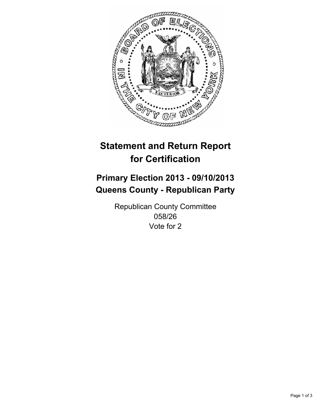

# **Statement and Return Report for Certification**

# **Primary Election 2013 - 09/10/2013 Queens County - Republican Party**

Republican County Committee 058/26 Vote for 2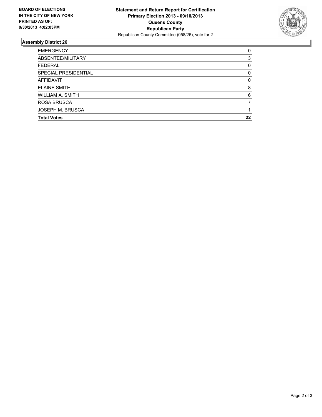

## **Assembly District 26**

| <b>EMERGENCY</b>        | 0        |
|-------------------------|----------|
| ABSENTEE/MILITARY       | 3        |
| <b>FEDERAL</b>          | 0        |
| SPECIAL PRESIDENTIAL    | 0        |
| AFFIDAVIT               | $\Omega$ |
| <b>ELAINE SMITH</b>     | 8        |
| WILLIAM A. SMITH        | 6        |
| <b>ROSA BRUSCA</b>      |          |
| <b>JOSEPH M. BRUSCA</b> |          |
| <b>Total Votes</b>      | 22       |